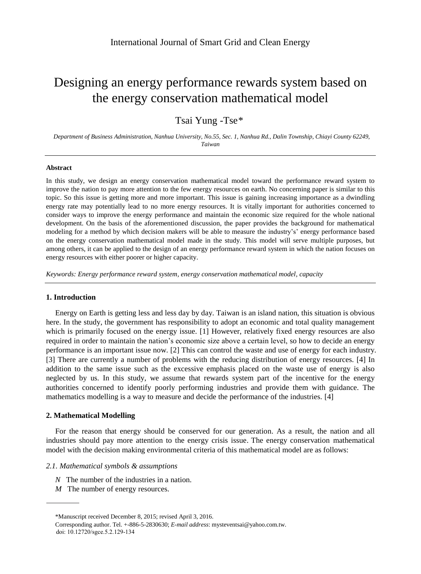# Designing an energy performance rewards system based on the energy conservation mathematical model

Tsai Yung -Tse\*

*Department of Business Administration, Nanhua University, No.55, Sec. 1, Nanhua Rd., Dalin Township, Chiayi County 62249, Taiwan*

### **Abstract**

In this study, we design an energy conservation mathematical model toward the performance reward system to improve the nation to pay more attention to the few energy resources on earth. No concerning paper is similar to this topic. So this issue is getting more and more important. This issue is gaining increasing importance as a dwindling energy rate may potentially lead to no more energy resources. It is vitally important for authorities concerned to consider ways to improve the energy performance and maintain the economic size required for the whole national development. On the basis of the aforementioned discussion, the paper provides the background for mathematical modeling for a method by which decision makers will be able to measure the industry's' energy performance based on the energy conservation mathematical model made in the study. This model will serve multiple purposes, but among others, it can be applied to the design of an energy performance reward system in which the nation focuses on energy resources with either poorer or higher capacity.

*Keywords: Energy performance reward system, energy conservation mathematical model, capacity*

# **1. Introduction**

Energy on Earth is getting less and less day by day. Taiwan is an island nation, this situation is obvious here. In the study, the government has responsibility to adopt an economic and total quality management which is primarily focused on the energy issue. [1] However, relatively fixed energy resources are also required in order to maintain the nation's economic size above a certain level, so how to decide an energy performance is an important issue now. [2] This can control the waste and use of energy for each industry. [3] There are currently a number of problems with the reducing distribution of energy resources. [4] In addition to the same issue such as the excessive emphasis placed on the waste use of energy is also neglected by us. In this study, we assume that rewards system part of the incentive for the energy authorities concerned to identify poorly performing industries and provide them with guidance. The mathematics modelling is a way to measure and decide the performance of the industries. [4]

## **2. Mathematical Modelling**

For the reason that energy should be conserved for our generation. As a result, the nation and all industries should pay more attention to the energy crisis issue. The energy conservation mathematical model with the decision making environmental criteria of this mathematical model are as follows:

## *2.1. Mathematical symbols & assumptions*

- *N* The number of the industries in a nation.
- *M* The number of energy resources.

<sup>\*</sup>Manuscript received December 8, 2015; revised April 3, 2016.

Corresponding author. Tel. +-886-5-2830630; *E-mail address*: mysteventsai@yahoo.com.tw. doi: 10.12720/sgce.5.2.129-134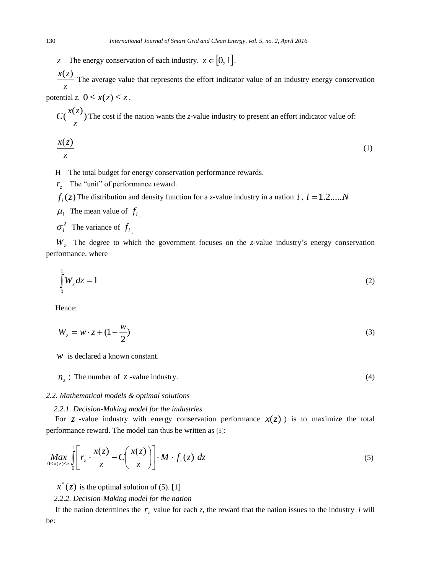*z* The energy conservation of each industry.  $z \in [0, 1]$ .

*z*  $\frac{x(z)}{z}$  The average value that represents the effort indicator value of an industry energy conservation potential *z*.  $0 \leq x(z) \leq z$ .

 $\frac{x(z)}{z}$ *z*  $C(\frac{x(z)}{z})$  The cost if the nation wants the *z*-value industry to present an effort indicator value of:

$$
\frac{x(z)}{z} \tag{1}
$$

H The total budget for energy conservation performance rewards.

 $r_z$  The "unit" of performance reward.

 $f_i(z)$  The distribution and density function for a *z*-value industry in a nation *i*, *i* = 1.2.....*N* 

 $\mu_i$  The mean value of  $f_i$ .

 $\sigma_i^2$  The variance of  $f_i$ .

*Wz* The degree to which the government focuses on the *z*-value industry's energy conservation performance, where

$$
\int_{0}^{1} W_z dz = 1 \tag{2}
$$

Hence:

$$
W_z = w \cdot z + (1 - \frac{w}{2}) \tag{3}
$$

*w* is declared a known constant.

 $n_z$ : The number of *z*-value industry. (4)

#### *2.2. Mathematical models & optimal solutions*

# *2.2.1. Decision-Making model for the industries*

For *z* -value industry with energy conservation performance  $x(z)$  ) is to maximize the total performance reward. The model can thus be written as [5]:

$$
\underset{0 \leq x(z) \leq z}{\text{Max}} \int_{0}^{1} \left[ r_z \cdot \frac{x(z)}{z} - C \left( \frac{x(z)}{z} \right) \right] \cdot M \cdot f_i(z) \, dz \tag{5}
$$

 $x^*(z)$  is the optimal solution of (5). [1]

*2.2.2. Decision-Making model for the nation*

If the nation determines the  $r<sub>z</sub>$  value for each  $z$ , the reward that the nation issues to the industry *i* will be: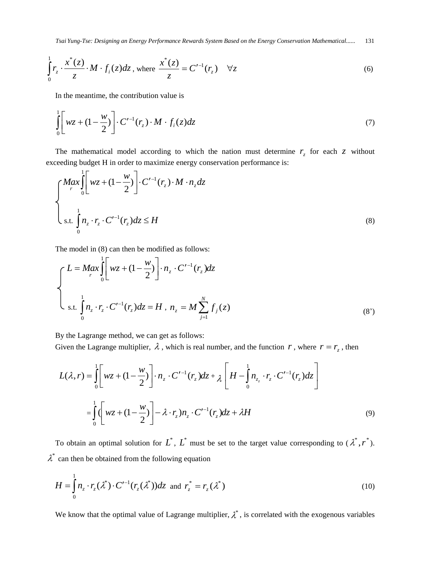*Tsai Yung-Tse: Designing an Energy Performance Rewards System Based on the Energy Conservation Mathematical......* 131

$$
\int_{0}^{1} r_z \cdot \frac{x^*(z)}{z} \cdot M \cdot f_i(z) dz, \text{ where } \frac{x^*(z)}{z} = C'^{-1}(r_z) \quad \forall z
$$
 (6)

In the meantime, the contribution value is

$$
\int_{0}^{1} \left[ wz + (1 - \frac{w}{2}) \right] \cdot C'^{-1}(r_z) \cdot M \cdot f_i(z) dz \tag{7}
$$

The mathematical model according to which the nation must determine  $r<sub>z</sub>$  for each  $z$  without exceeding budget H in order to maximize energy conservation performance is:

$$
\begin{cases} \nMax \int_{r}^{1} \left[ wz + (1 - \frac{w}{2}) \right] \cdot C'^{-1}(r_z) \cdot M \cdot n_z \, dz \\
\vdots \\
\text{s.t.} \int_{0}^{1} n_z \cdot r_z \cdot C'^{-1}(r_z) \, dz \leq H\n\end{cases} \tag{8}
$$

The model in (8) can then be modified as follows:

$$
\begin{cases}\nL = M a x \int_{r}^{1} \left[ w z + (1 - \frac{w}{2}) \right] \cdot n_z \cdot C'^{-1}(r_z) dz \\
\vdots \\
\int_{0}^{1} n_z \cdot r_z \cdot C'^{-1}(r_z) dz = H \cdot n_z = M \sum_{j=1}^{N} f_j(z)\n\end{cases} \tag{8'}
$$

By the Lagrange method, we can get as follows:

Given the Lagrange multiplier,  $\lambda$ , which is real number, and the function  $r$ , where  $r = r_z$ , then

$$
L(\lambda, r) = \int_0^1 \left[ wz + (1 - \frac{w}{2}) \right] \cdot n_z \cdot C'^{-1}(r_z) dz + \lambda \left[ H - \int_0^1 n_{z_z} \cdot r_z \cdot C'^{-1}(r_z) dz \right]
$$
  

$$
= \int_0^1 \left( wz + (1 - \frac{w}{2}) \right) - \lambda \cdot r_z) n_z \cdot C'^{-1}(r_z) dz + \lambda H
$$
 (9)

To obtain an optimal solution for  $L^*$ ,  $L^*$  must be set to the target value corresponding to  $(\lambda^*, r^*)$ .  $\lambda^*$  can then be obtained from the following equation

$$
H = \int_0^1 n_z \cdot r_z(\lambda^*) \cdot C'^{-1}(r_z(\lambda^*)) dz \text{ and } r_z^* = r_z(\lambda^*)
$$
\n(10)

We know that the optimal value of Lagrange multiplier,  $\lambda^*$ , is correlated with the exogenous variables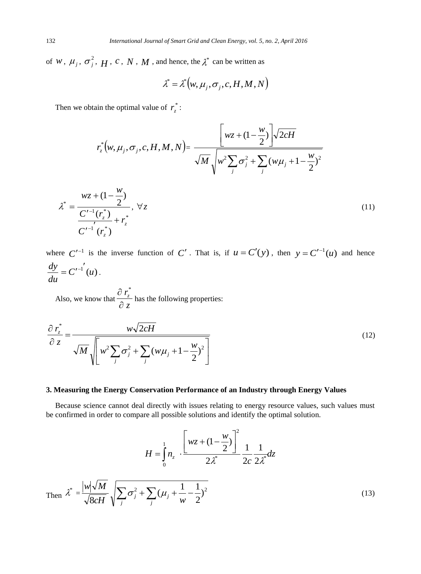of *W*,  $\mu_j$ ,  $\sigma_j^2$ , *H*, *c*, *N*, *M*, and hence, the  $\lambda^*$  can be written as

$$
\lambda^* = \lambda^* (w, \mu_j, \sigma_j, c, H, M, N)
$$

Then we obtain the optimal value of  $r^*_{z}$ :

$$
r_z^*(w, \mu_j, \sigma_j, c, H, M, N) = \frac{\left[wz + (1 - \frac{w}{2})\right] \sqrt{2cH}}{\sqrt{M} \sqrt{w^2 \sum_j \sigma_j^2 + \sum_j (w\mu_j + 1 - \frac{w}{2})^2}}
$$

$$
\lambda^* = \frac{wz + (1 - \frac{w}{2})}{\frac{C'^{-1}(r_z^*)}{C'^{-1}(r_z^*)} + r_z^*}
$$
\n(11)

where  $C'^{-1}$  is the inverse function of C'. That is, if  $u = C'(y)$ , then  $y = C'^{-1}(u)$  and hence  $C'^{-1}(u)$ *du*  $\frac{dy}{dx} = C'^{-1'}(u)$ .

Also, we know that  $\frac{z}{\partial z}$  $r_z^2$  $\partial$  $\partial r_*^*$ has the following properties:

$$
\frac{\partial r_z^*}{\partial z} = \frac{w\sqrt{2cH}}{\sqrt{M}\sqrt{\left[w^2\sum_j \sigma_j^2 + \sum_j (w\mu_j + 1 - \frac{w}{2})^2\right]}}
$$
(12)

## **3. Measuring the Energy Conservation Performance of an Industry through Energy Values**

Because science cannot deal directly with issues relating to energy resource values, such values must be confirmed in order to compare all possible solutions and identify the optimal solution.

$$
H = \int_{0}^{1} n_{z} \cdot \frac{\left[wz + (1 - \frac{w}{2})\right]^{2}}{2\lambda^{*}} \frac{1}{2c} \frac{1}{2\lambda^{*}} dz
$$
  
Then 
$$
\lambda^{*} = \frac{|w|\sqrt{M}}{\sqrt{8cH}} \sqrt{\sum_{j} \sigma_{j}^{2} + \sum_{j} (\mu_{j} + \frac{1}{w} - \frac{1}{2})^{2}}
$$
(13)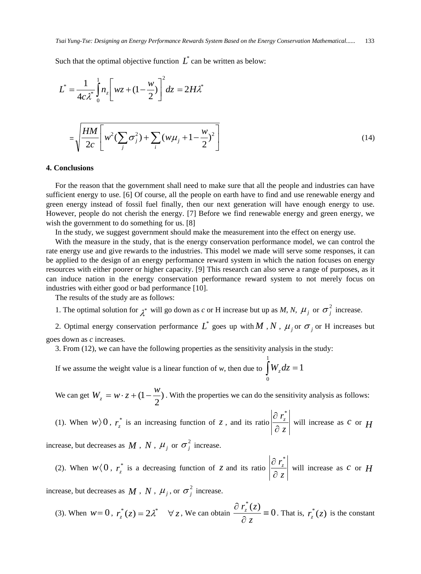Such that the optimal objective function  $L^*$  can be written as below:

$$
L^* = \frac{1}{4c\lambda^*} \int_0^1 n_z \left[ wz + (1 - \frac{w}{2}) \right]^2 dz = 2H\lambda^*
$$
  

$$
= \sqrt{\frac{HM}{2c} \left[ w^2 \left( \sum_j \sigma_j^2 \right) + \sum_i \left( w\mu_j + 1 - \frac{w}{2} \right)^2 \right]}
$$
(14)

## **4. Conclusions**

For the reason that the government shall need to make sure that all the people and industries can have sufficient energy to use. [6] Of course, all the people on earth have to find and use renewable energy and green energy instead of fossil fuel finally, then our next generation will have enough energy to use. However, people do not cherish the energy. [7] Before we find renewable energy and green energy, we wish the government to do something for us. [8]

In the study, we suggest government should make the measurement into the effect on energy use.

With the measure in the study, that is the energy conservation performance model, we can control the rate energy use and give rewards to the industries. This model we made will serve some responses, it can be applied to the design of an energy performance reward system in which the nation focuses on energy resources with either poorer or higher capacity. [9] This research can also serve a range of purposes, as it can induce nation in the energy conservation performance reward system to not merely focus on industries with either good or bad performance [10].

The results of the study are as follows:

- 1. The optimal solution for  $\chi^*$  will go down as *c* or H increase but up as *M*, *N*,  $\mu_j$  or  $\sigma_j^2$  increase.
- 2. Optimal energy conservation performance  $L^*$  goes up with  $M$  ,  $N$  ,  $\mu_j$  or  $\sigma_j$  or H increases but goes down as *c* increases.

3. From (12), we can have the following properties as the sensitivity analysis in the study:

If we assume the weight value is a linear function of *w*, then due to  $\int W_y dz = 1$ 1  $\int\limits_0^{\infty} W_z dz =$ 

We can get  $W_z = w \cdot z + (1 - \frac{w}{z})$ 2  $W_z = w \cdot z + (1 - \frac{w}{2})$ . With the properties we can do the sensitivity analysis as follows:

(1). When  $w \rangle 0$ ,  $r_*^*$  $r_z^*$  is an increasing function of *z*, and its ratio *z rz*  $\partial$  $\partial r^*$ will increase as *c* or *H*

increase, but decreases as  $M$ ,  $N$ ,  $\mu_j$  or  $\sigma_j^2$  increase.

(2). When  $w(0, r^*)$  $r_z^*$  is a decreasing function of *z* and its ratio *z*  $r_z$  $\partial$  $\partial r^*$ will increase as *c* or *H*

increase, but decreases as  $M$ ,  $N$ ,  $\mu_j$ , or  $\sigma_j^2$  increase.

(3). When  $w = 0$ ,  $r_z^*(z) = 2\lambda^*$   $\forall z$ , We can obtain  $\frac{\partial r_z^*(z)}{\partial z} = 0$  $\equiv$  $\partial$  $\widehat{o}$ *z*  $\frac{r_z^*(z)}{z} \equiv 0$ . That is,  $r_z^*(z)$  is the constant